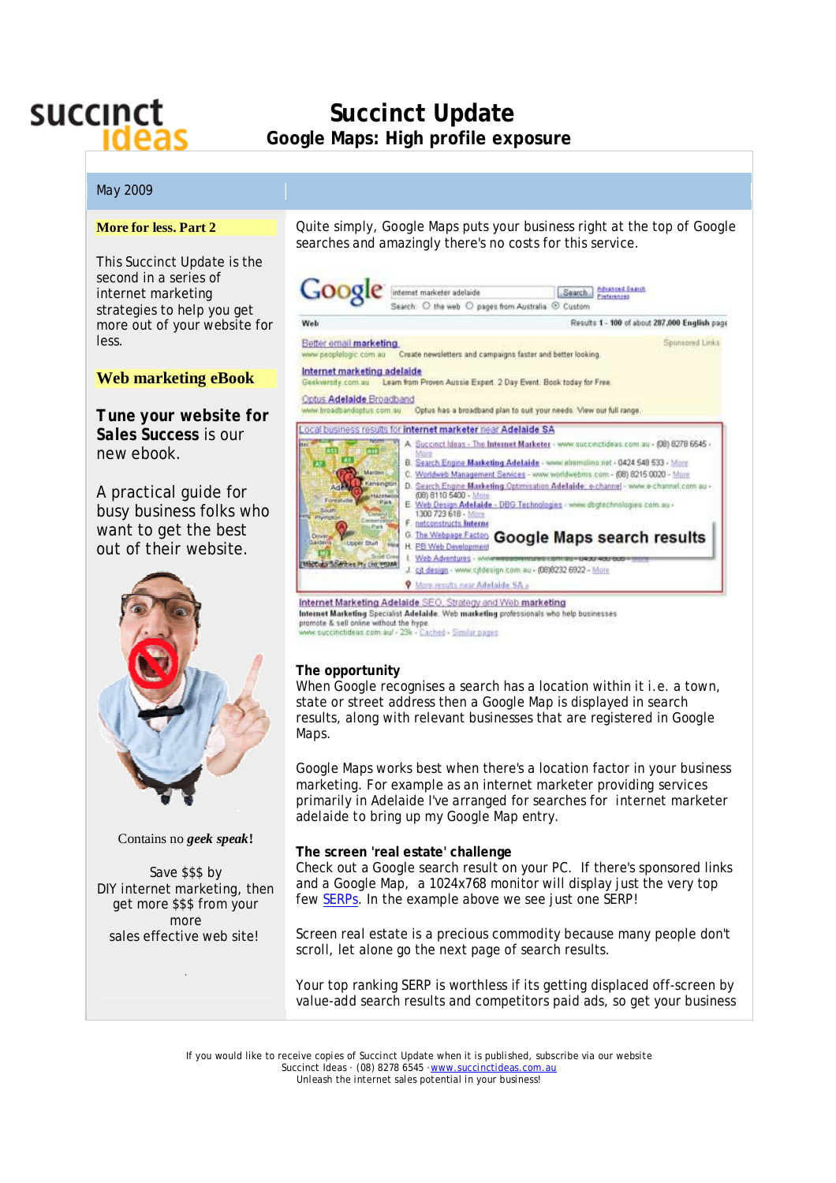

# **Succinct Update Google Maps: High profile exposure**

# May 2009

### **More for less. Part 2**

This Succinct Update is the second in a series of internet marketing strategies to help you get more out of your website for less.

# **Web marketing eBook**

*Tune your website for Sales Success* is our new ebook.

A practical guide for busy business folks who want to get the best out of their website.



#### Contains no *geek speak***!**

Save \$\$\$ by DIY internet marketing, then get more \$\$\$ from your more sales effective web site!

.

Quite simply, Google Maps puts your business right at the top of Google searches and amazingly there's no costs for this service.



Internet Marketing Adelaide SEO, Strategy and Web marketing Internet Marketing Specialist Adelaide. Web marketing professionals who help businesses<br>promote & sell online without the hype.<br>www.succinctideas.com.au/ - 23k - Cached - Similar pages

# **The opportunity**

When Google recognises a search has a location within it i.e. a town, state or street address then a Google Map is displayed in search results, along with relevant businesses that are registered in Google Maps.

Google Maps works best when there's a location factor in your business marketing. For example as an internet marketer providing services primarily in Adelaide I've arranged for searches for *internet marketer adelaide to* bring up my Google Map entry.

#### **The screen 'real estate' challenge**

Check out a Google search result on your PC. If there's sponsored links and a Google Map, a 1024x768 monitor will display just the very top few SERPs. In the example above we see just one SERP!

Screen real estate is a precious commodity because many people don't scroll, let alone go the next page of search results.

Your top ranking SERP is worthless if its getting displaced off-screen by value-add search results and competitors paid ads, so get your business

If you would like to receive copies of Succinct Update when it is published, subscribe via our website Succinct Ideas (08) 8278 6545 · [www.succinctideas.com.au](http://www.succinctideas.com.au) Unleash the internet sales potential in your business!